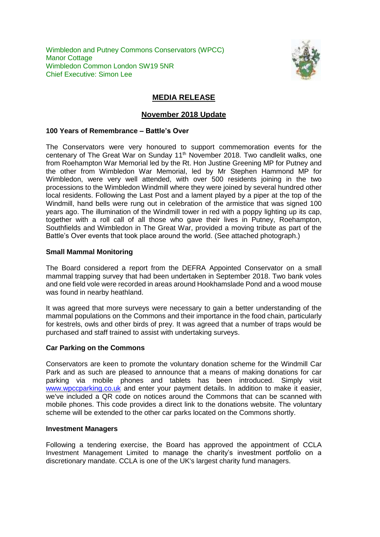Wimbledon and Putney Commons Conservators (WPCC) **Manor Cottage** Wimbledon Common London SW19 5NR Chief Executive: Simon Lee



# **MEDIA RELEASE**

# **November 2018 Update**

## **100 Years of Remembrance – Battle's Over**

The Conservators were very honoured to support commemoration events for the centenary of The Great War on Sunday 11<sup>th</sup> November 2018. Two candlelit walks, one from Roehampton War Memorial led by the Rt. Hon Justine Greening MP for Putney and the other from Wimbledon War Memorial, led by Mr Stephen Hammond MP for Wimbledon, were very well attended, with over 500 residents joining in the two processions to the Wimbledon Windmill where they were joined by several hundred other local residents. Following the Last Post and a lament played by a piper at the top of the Windmill, hand bells were rung out in celebration of the armistice that was signed 100 years ago. The illumination of the Windmill tower in red with a poppy lighting up its cap, together with a roll call of all those who gave their lives in Putney, Roehampton, Southfields and Wimbledon in The Great War, provided a moving tribute as part of the Battle's Over events that took place around the world. (See attached photograph.)

### **Small Mammal Monitoring**

The Board considered a report from the DEFRA Appointed Conservator on a small mammal trapping survey that had been undertaken in September 2018. Two bank voles and one field vole were recorded in areas around Hookhamslade Pond and a wood mouse was found in nearby heathland.

It was agreed that more surveys were necessary to gain a better understanding of the mammal populations on the Commons and their importance in the food chain, particularly for kestrels, owls and other birds of prey. It was agreed that a number of traps would be purchased and staff trained to assist with undertaking surveys.

#### **Car Parking on the Commons**

Conservators are keen to promote the voluntary donation scheme for the Windmill Car Park and as such are pleased to announce that a means of making donations for car parking via mobile phones and tablets has been introduced. Simply visit [www.wpccparking.co.uk](http://www.wpccparking.co.uk/) and enter your payment details. In addition to make it easier, we've included a QR code on notices around the Commons that can be scanned with mobile phones. This code provides a direct link to the donations website. The voluntary scheme will be extended to the other car parks located on the Commons shortly.

#### **Investment Managers**

Following a tendering exercise, the Board has approved the appointment of CCLA Investment Management Limited to manage the charity's investment portfolio on a discretionary mandate. CCLA is one of the UK's largest charity fund managers.